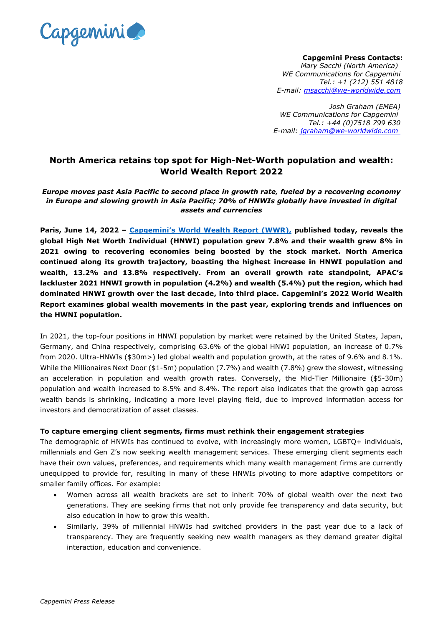

**Capgemini Press Contacts:** *Mary Sacchi (North America) WE Communications for Capgemini Tel.: +1 (212) 551 4818 E-mail: [msacchi@we-worldwide.com](mailto:msacchi@we-worldwide.com)*

*Josh Graham (EMEA) WE Communications for Capgemini Tel.: +44 (0)7518 799 630 E-mail: [jgraham@we-worldwide.com](mailto:jgraham@we-worldwide.com)*

# **North America retains top spot for High-Net-Worth population and wealth: World Wealth Report 2022**

*Europe moves past Asia Pacific to second place in growth rate, fueled by a recovering economy in Europe and slowing growth in Asia Pacific; 70% of HNWIs globally have invested in digital assets and currencies*

**Paris, June 14, 2022 – Capgemini's [World Wealth Report](http://www.worldwealthreport.com/) (WWR), published today, reveals the global High Net Worth Individual (HNWI) population grew 7.8% and their wealth grew 8% in 2021 owing to recovering economies being boosted by the stock market. North America continued along its growth trajectory, boasting the highest increase in HNWI population and wealth, 13.2% and 13.8% respectively. From an overall growth rate standpoint, APAC's lackluster 2021 HNWI growth in population (4.2%) and wealth (5.4%) put the region, which had dominated HNWI growth over the last decade, into third place. Capgemini's 2022 World Wealth Report examines global wealth movements in the past year, exploring trends and influences on the HWNI population.**

In 2021, the top-four positions in HNWI population by market were retained by the United States, Japan, Germany, and China respectively, comprising 63.6% of the global HNWI population, an increase of 0.7% from 2020. Ultra-HNWIs (\$30m>) led global wealth and population growth, at the rates of 9.6% and 8.1%. While the Millionaires Next Door (\$1-5m) population (7.7%) and wealth (7.8%) grew the slowest, witnessing an acceleration in population and wealth growth rates. Conversely, the Mid-Tier Millionaire (\$5-30m) population and wealth increased to 8.5% and 8.4%. The report also indicates that the growth gap across wealth bands is shrinking, indicating a more level playing field, due to improved information access for investors and democratization of asset classes.

### **To capture emerging client segments, firms must rethink their engagement strategies**

The demographic of HNWIs has continued to evolve, with increasingly more women, LGBTQ+ individuals, millennials and Gen Z's now seeking wealth management services. These emerging client segments each have their own values, preferences, and requirements which many wealth management firms are currently unequipped to provide for, resulting in many of these HNWIs pivoting to more adaptive competitors or smaller family offices. For example:

- Women across all wealth brackets are set to inherit 70% of global wealth over the next two generations. They are seeking firms that not only provide fee transparency and data security, but also education in how to grow this wealth.
- Similarly, 39% of millennial HNWIs had switched providers in the past year due to a lack of transparency. They are frequently seeking new wealth managers as they demand greater digital interaction, education and convenience.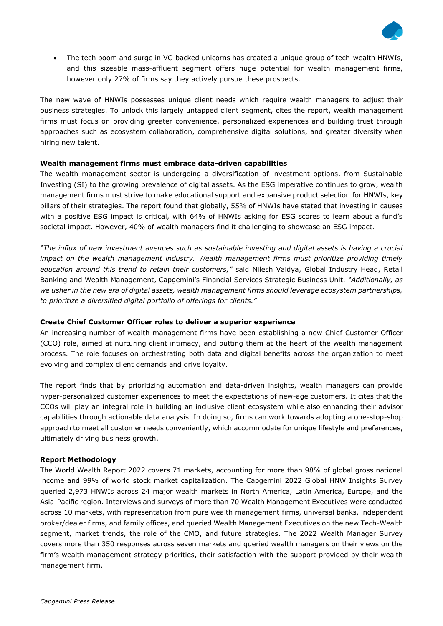

• The tech boom and surge in VC-backed unicorns has created a unique group of tech-wealth HNWIs, and this sizeable mass-affluent segment offers huge potential for wealth management firms, however only 27% of firms say they actively pursue these prospects.

The new wave of HNWIs possesses unique client needs which require wealth managers to adjust their business strategies. To unlock this largely untapped client segment, cites the report, wealth management firms must focus on providing greater convenience, personalized experiences and building trust through approaches such as ecosystem collaboration, comprehensive digital solutions, and greater diversity when hiring new talent.

## **Wealth management firms must embrace data-driven capabilities**

The wealth management sector is undergoing a diversification of investment options, from Sustainable Investing (SI) to the growing prevalence of digital assets. As the ESG imperative continues to grow, wealth management firms must strive to make educational support and expansive product selection for HNWIs, key pillars of their strategies. The report found that globally, 55% of HNWIs have stated that investing in causes with a positive ESG impact is critical, with 64% of HNWIs asking for ESG scores to learn about a fund's societal impact. However, 40% of wealth managers find it challenging to showcase an ESG impact.

*"The influx of new investment avenues such as sustainable investing and digital assets is having a crucial impact on the wealth management industry. Wealth management firms must prioritize providing timely education around this trend to retain their customers,"* said Nilesh Vaidya, Global Industry Head, Retail Banking and Wealth Management, Capgemini's Financial Services Strategic Business Unit*. "Additionally, as we usher in the new era of digital assets, wealth management firms should leverage ecosystem partnerships, to prioritize a diversified digital portfolio of offerings for clients."*

## **Create Chief Customer Officer roles to deliver a superior experience**

An increasing number of wealth management firms have been establishing a new Chief Customer Officer (CCO) role, aimed at nurturing client intimacy, and putting them at the heart of the wealth management process. The role focuses on orchestrating both data and digital benefits across the organization to meet evolving and complex client demands and drive loyalty.

The report finds that by prioritizing automation and data-driven insights, wealth managers can provide hyper-personalized customer experiences to meet the expectations of new-age customers. It cites that the CCOs will play an integral role in building an inclusive client ecosystem while also enhancing their advisor capabilities through actionable data analysis. In doing so, firms can work towards adopting a one-stop-shop approach to meet all customer needs conveniently, which accommodate for unique lifestyle and preferences, ultimately driving business growth.

### **Report Methodology**

The World Wealth Report 2022 covers 71 markets, accounting for more than 98% of global gross national income and 99% of world stock market capitalization. The Capgemini 2022 Global HNW Insights Survey queried 2,973 HNWIs across 24 major wealth markets in North America, Latin America, Europe, and the Asia-Pacific region. Interviews and surveys of more than 70 Wealth Management Executives were conducted across 10 markets, with representation from pure wealth management firms, universal banks, independent broker/dealer firms, and family offices, and queried Wealth Management Executives on the new Tech-Wealth segment, market trends, the role of the CMO, and future strategies. The 2022 Wealth Manager Survey covers more than 350 responses across seven markets and queried wealth managers on their views on the firm's wealth management strategy priorities, their satisfaction with the support provided by their wealth management firm.